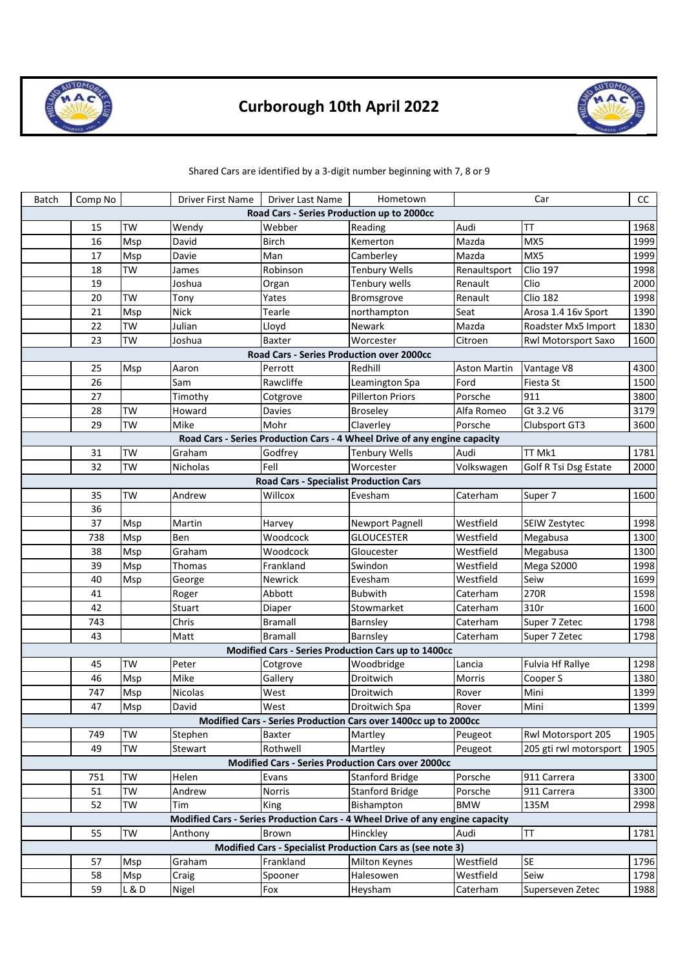

## **Curborough 10th April 2022**



## Shared Cars are identified by a 3-digit number beginning with 7, 8 or 9

| Batch                                      | Comp No |                 | Driver First Name | Driver Last Name                              | Hometown                                                                         |                     | Car                    | CC           |  |  |  |  |
|--------------------------------------------|---------|-----------------|-------------------|-----------------------------------------------|----------------------------------------------------------------------------------|---------------------|------------------------|--------------|--|--|--|--|
| Road Cars - Series Production up to 2000cc |         |                 |                   |                                               |                                                                                  |                     |                        |              |  |  |  |  |
|                                            | 15      | <b>TW</b>       | Wendy             | Webber                                        | Reading                                                                          | Audi                | TT                     | 1968         |  |  |  |  |
|                                            | 16      | Msp             | David             | <b>Birch</b>                                  | Kemerton                                                                         | Mazda               | MX5                    | 1999         |  |  |  |  |
|                                            | 17      | Msp             | Davie             | Man                                           | Camberley                                                                        | Mazda               | MX5                    | 1999         |  |  |  |  |
|                                            | 18      | <b>TW</b>       | James             | Robinson                                      | <b>Tenbury Wells</b>                                                             | Renaultsport        | <b>Clio 197</b>        | 1998         |  |  |  |  |
|                                            | 19      |                 | Joshua            | Organ                                         | Tenbury wells                                                                    | Renault             | Clio                   | 2000         |  |  |  |  |
|                                            | 20      | <b>TW</b>       | Tony              | Yates                                         | Bromsgrove                                                                       | Renault             | <b>Clio 182</b>        | 1998         |  |  |  |  |
|                                            | 21      | Msp             | <b>Nick</b>       | Tearle                                        | northampton                                                                      | Seat                | Arosa 1.4 16v Sport    | 1390         |  |  |  |  |
|                                            | 22      | TW              | Julian            | Lloyd                                         | Newark                                                                           | Mazda               | Roadster Mx5 Import    | 1830         |  |  |  |  |
|                                            | 23      | <b>TW</b>       | Joshua            | Baxter                                        | Worcester                                                                        | Citroen             | Rwl Motorsport Saxo    | 1600         |  |  |  |  |
| Road Cars - Series Production over 2000cc  |         |                 |                   |                                               |                                                                                  |                     |                        |              |  |  |  |  |
|                                            | 25      | Msp             | Aaron             | Perrott                                       | Redhill                                                                          | <b>Aston Martin</b> | Vantage V8             | 4300         |  |  |  |  |
|                                            | 26      |                 | Sam               | Rawcliffe                                     | Leamington Spa                                                                   | Ford                | <b>Fiesta St</b>       | 1500         |  |  |  |  |
|                                            | 27      |                 | Timothy           | Cotgrove                                      | <b>Pillerton Priors</b>                                                          | Porsche             | 911                    | 3800         |  |  |  |  |
|                                            | 28      | TW              | Howard            | Davies                                        | <b>Broseley</b>                                                                  | Alfa Romeo          | Gt 3.2 V6              | 3179         |  |  |  |  |
|                                            | 29      | <b>TW</b>       | Mike              | Mohr                                          | Claverley                                                                        | Porsche             | Clubsport GT3          | 3600         |  |  |  |  |
|                                            |         |                 |                   |                                               | Road Cars - Series Production Cars - 4 Wheel Drive of any engine capacity        |                     |                        |              |  |  |  |  |
|                                            | 31      | <b>TW</b>       | Graham            | Godfrey                                       | <b>Tenbury Wells</b>                                                             | Audi                | TT Mk1                 | 1781         |  |  |  |  |
|                                            | 32      | <b>TW</b>       | Nicholas          | Fell                                          | Worcester                                                                        | Volkswagen          | Golf R Tsi Dsg Estate  | 2000         |  |  |  |  |
|                                            |         |                 |                   | <b>Road Cars - Specialist Production Cars</b> |                                                                                  |                     |                        |              |  |  |  |  |
|                                            | 35      | <b>TW</b>       | Andrew            | Willcox                                       | Evesham                                                                          | Caterham            | Super 7                | 1600         |  |  |  |  |
|                                            | 36      |                 |                   |                                               |                                                                                  |                     |                        |              |  |  |  |  |
|                                            | 37      | Msp             | Martin            | Harvey                                        | <b>Newport Pagnell</b>                                                           | Westfield           | SEIW Zestytec          | 1998         |  |  |  |  |
|                                            | 738     | Msp             | Ben               | Woodcock                                      | <b>GLOUCESTER</b>                                                                | Westfield           | Megabusa               | 1300         |  |  |  |  |
|                                            | 38      | Msp             | Graham            | Woodcock                                      | Gloucester                                                                       | Westfield           | Megabusa               | 1300         |  |  |  |  |
|                                            | 39      | Msp             | Thomas            | Frankland                                     | Swindon                                                                          | Westfield           | <b>Mega S2000</b>      | 1998         |  |  |  |  |
|                                            | 40      | Msp             | George            | Newrick                                       | Evesham                                                                          | Westfield           | Seiw                   | 1699         |  |  |  |  |
|                                            | 41      |                 | Roger             | Abbott                                        | <b>Bubwith</b>                                                                   | Caterham            | 270R                   | 1598         |  |  |  |  |
|                                            | 42      |                 | Stuart            | Diaper                                        | Stowmarket                                                                       | Caterham            | 310r                   | 1600         |  |  |  |  |
|                                            | 743     |                 | Chris             | <b>Bramall</b><br><b>Bramall</b>              | Barnsley                                                                         | Caterham            | Super 7 Zetec          | 1798         |  |  |  |  |
|                                            | 43      |                 | Matt              |                                               | Barnsley                                                                         | Caterham            | Super 7 Zetec          | 1798         |  |  |  |  |
|                                            | 45      | <b>TW</b>       | Peter             |                                               | Modified Cars - Series Production Cars up to 1400cc                              | Lancia              |                        |              |  |  |  |  |
|                                            | 46      |                 | Mike              | Cotgrove<br>Gallery                           | Woodbridge<br>Droitwich                                                          | Morris              | Fulvia Hf Rallye       | 1298<br>1380 |  |  |  |  |
|                                            | 747     | Msp<br>Msp      | <b>Nicolas</b>    | West                                          | Droitwich                                                                        | Rover               | Cooper S<br>Mini       | 1399         |  |  |  |  |
|                                            |         | M <sub>sp</sub> | David             | West                                          |                                                                                  | Rover               | Mini                   | 1399         |  |  |  |  |
|                                            | 47      |                 |                   |                                               | Droitwich Spa<br>Modified Cars - Series Production Cars over 1400cc up to 2000cc |                     |                        |              |  |  |  |  |
|                                            | 749     | TW              | Stephen           | Baxter                                        | Martley                                                                          | Peugeot             | Rwl Motorsport 205     | 1905         |  |  |  |  |
|                                            | 49      | TW              | Stewart           | Rothwell                                      | Martley                                                                          | Peugeot             | 205 gti rwl motorsport | 1905         |  |  |  |  |
|                                            |         |                 |                   |                                               | Modified Cars - Series Production Cars over 2000cc                               |                     |                        |              |  |  |  |  |
|                                            | 751     | <b>TW</b>       | Helen             | Evans                                         | <b>Stanford Bridge</b>                                                           | Porsche             | 911 Carrera            | 3300         |  |  |  |  |
|                                            | 51      | <b>TW</b>       | Andrew            | <b>Norris</b>                                 | <b>Stanford Bridge</b>                                                           | Porsche             | 911 Carrera            | 3300         |  |  |  |  |
|                                            | 52      | TW              | Tim               | King                                          | Bishampton                                                                       | <b>BMW</b>          | 135M                   | 2998         |  |  |  |  |
|                                            |         |                 |                   |                                               | Modified Cars - Series Production Cars - 4 Wheel Drive of any engine capacity    |                     |                        |              |  |  |  |  |
|                                            | 55      | <b>TW</b>       | Anthony           | Brown                                         | Hinckley                                                                         | Audi                | <b>TT</b>              | 1781         |  |  |  |  |
|                                            |         |                 |                   |                                               | Modified Cars - Specialist Production Cars as (see note 3)                       |                     |                        |              |  |  |  |  |
|                                            | 57      | Msp             | Graham            | Frankland                                     | <b>Milton Keynes</b>                                                             | Westfield           | <b>SE</b>              | 1796         |  |  |  |  |
|                                            | 58      | Msp             | Craig             | Spooner                                       | Halesowen                                                                        | Westfield           | Seiw                   | 1798         |  |  |  |  |
|                                            | 59      | L & D           | Nigel             | Fox                                           | Heysham                                                                          | Caterham            | Superseven Zetec       | 1988         |  |  |  |  |
|                                            |         |                 |                   |                                               |                                                                                  |                     |                        |              |  |  |  |  |